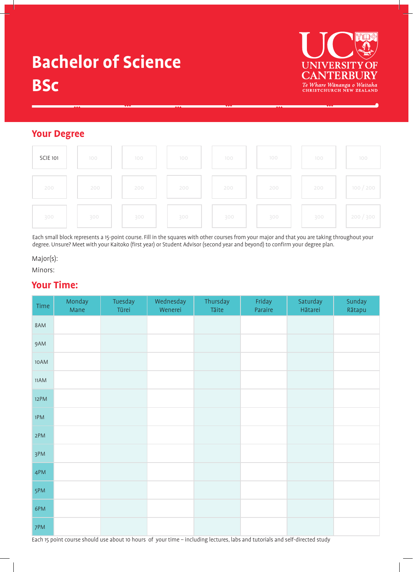# **Bachelor of Science BSc**



# **Your Degree**



Each small block represents a 15-point course. Fill in the squares with other courses from your major and that you are taking throughout your degree. Unsure? Meet with your Kaitoko (first year) or Student Advisor (second year and beyond) to confirm your degree plan.

### Major(s):

Minors:

# **Your Time:**

| Time   | Monday<br>Mane | Tuesday<br>Tūrei | Wednesday<br>Wenerei | Thursday<br>Tāite | Friday<br>Paraire | Saturday<br>Hātarei | Sunday<br>Rātapu |
|--------|----------------|------------------|----------------------|-------------------|-------------------|---------------------|------------------|
| 8AM    |                |                  |                      |                   |                   |                     |                  |
| 9AM    |                |                  |                      |                   |                   |                     |                  |
| $10AM$ |                |                  |                      |                   |                   |                     |                  |
| 11AM   |                |                  |                      |                   |                   |                     |                  |
| 12PM   |                |                  |                      |                   |                   |                     |                  |
| 1PM    |                |                  |                      |                   |                   |                     |                  |
| 2PM    |                |                  |                      |                   |                   |                     |                  |
| 3PM    |                |                  |                      |                   |                   |                     |                  |
| 4PM    |                |                  |                      |                   |                   |                     |                  |
| 5PM    |                |                  |                      |                   |                   |                     |                  |
| 6PM    |                |                  |                      |                   |                   |                     |                  |
| 7PM    |                |                  |                      |                   |                   |                     |                  |

Each 15 point course should use about 10 hours of your time – including lectures, labs and tutorials and self-directed study